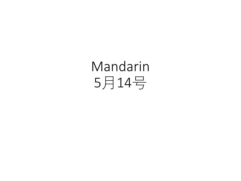# Mandarin 5月14号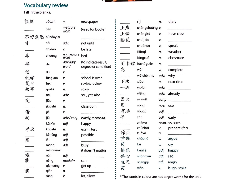

#### **Vocabulary review**

Fill in the blanks.

| 报纸             | bàozhǐ       | n.                 | newspaper                                    |                        | rìjì              | n.          | diary                                                    |
|----------------|--------------|--------------------|----------------------------------------------|------------------------|-------------------|-------------|----------------------------------------------------------|
|                | běn          | measure<br>word    | (used for books)                             | 上床                     | shàngchuáng v.    |             |                                                          |
| 不好意思 bùhǎoyìsi |              |                    |                                              | 上课                     | shàngkè           | v.          | have class                                               |
| 才              | cái          | adv.               | not until                                    | 睡觉                     | shuìjiào          | v.          |                                                          |
|                | chídào       | v.                 | be late                                      |                        | shuōhuà           | v.          | speak                                                    |
| 床              | chuáng       | n./measure<br>word | bed                                          |                        | tiāngì<br>tóngxué | n.<br>n.    | weather<br>classmate                                     |
| 得              | de           | auxiliary<br>word  | (to indicate result,<br>degree or condition) |                        | 图书馆 túshūguǎn     | n.          |                                                          |
| 读              | dú           | v.                 |                                              | 完                      | wán               | v.          | complete                                                 |
| 放学             | fàngxué      | v.                 | school is over                               | $\sim 100$ $M_{\odot}$ | wèishénme         | adv.        | why                                                      |
| 复习             | fùxí         | V.                 | revise, review                               | 下次                     | xiàcì             | n.          | next time                                                |
| 故事             | gùshi        | n.                 | story                                        | 一边                     | yībiān            | adv.        |                                                          |
|                | hái          | adv.               | still, yet; also                             |                        | yĭjīng            |             | adv. already                                             |
| 交              | jião         | v.                 |                                              | 因为                     | yīnwèi            |             | $\overline{conj.$                                        |
|                | jiàoshì      | n.                 | classroom                                    | 用                      | yòng              | $n./v.$ use |                                                          |
| 借              | jiè          | v.                 |                                              | 有趣                     | yǒuqù             | adj.        | <b>Contract Contract</b>                                 |
| 就              | jiù          | adv./conj.         | exactly; as soon as                          | 早                      | zăo               | adj.        | early                                                    |
|                | kāixīn       | adj.               | happy                                        |                        | zhème             |             | pron. so, such                                           |
| 考试             | kăoshì       | n.                 | exam, test                                   |                        | zhůnbèi           | v.          | prepare (for)                                            |
|                | kěnéng       | adj.               | possible                                     | 作业                     | zuòyè             | n.          |                                                          |
| 累              | lèi          | adj.               |                                              | 吵架                     | chǎojià           | v.          | argue                                                    |
|                | máng         | adj.               | busy                                         | 哭                      | kū                | v.          | cry                                                      |
|                | méiguānxi    |                    | it doesn't matter                            | 快乐                     | kuàilè            | adj.        | happy                                                    |
| 难              | nán          | adj.               |                                              | 伤心                     | shāngxīn          | adj.        | sad                                                      |
| 能              | néng         | modal v.           | can                                          | 生气                     | shēngqì           | adj.        | angry                                                    |
| 前              | qichuáng     | v.                 | get up                                       | 笑                      | xiào              | V.          | laugh, smile                                             |
|                | qián<br>ràng | n.<br>v.           | let, allow                                   |                        |                   |             |                                                          |
|                |              |                    |                                              |                        |                   |             | * The words in colour are not target words for the unit. |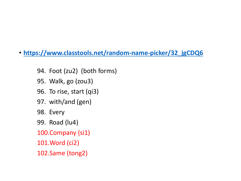- **[https://www.classtools.net/random-name-picker/32\\_jgCDQ6](https://www.classtools.net/random-name-picker/32_jgCDQ6)**
	- 94. Foot (zu2) (both forms)
	- 95. Walk, go (zou3)
	- 96. To rise, start (qi3)
	- 97. with/and (gen)
	- 98. Every
	- 99. Road (lu4)
	- 100.Company (si1)
	- 101.Word (ci2)
	- 102.Same (tong2)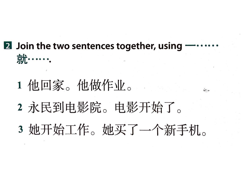### 2 Join the two sentences together, using 就……

- 1 他回家。他做作业。
- 2 永民到电影院。电影开始了。
- 3 她开始工作。她买了一个新手机。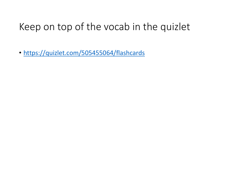### Keep on top of the vocab in the quizlet

• <https://quizlet.com/505455064/flashcards>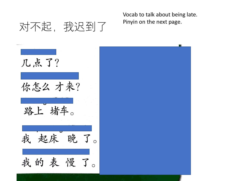Vocab to talk about being late. Pinyin on the next page.

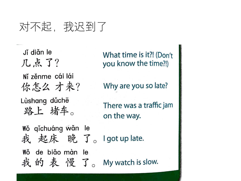## 对不起, 我迟到了

Ji diǎn le 几点了? Ní zěnme cái lái 你怎么 才来? Lùshang dùchē 路上 堵车。 Wǒ qichuáng wǎn le 我起床晚了。Igot up late. Wǒ de biǎo màn le 我的表慢了。 My watch is slow.

What time is it?! (Don't you know the time?!)

Why are you so late?

There was a traffic jam on the way.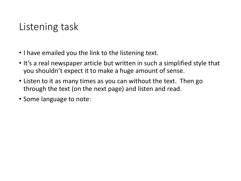#### Listening task

- I have emailed you the link to the listening text.
- It's a real newspaper article but written in such a simplified style that you shouldn't expect it to make a huge amount of sense.
- Listen to it as many times as you can without the text. Then go through the text (on the next page) and listen and read.
- Some language to note: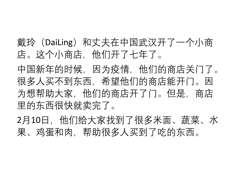戴玲(DaiLing)和丈夫在中国武汉开了一个小商 店。这个小商店,他们开了七年了。

中国新年的时候,因为疫情,他们的商店关门了。 很多人买不到东西,希望他们的商店能开门。因 为想帮助大家,他们的商店开了门。但是,商店 里的东西很快就卖完了。

2月10日, 他们给大家找到了很多米面、蔬菜、水 果、鸡蛋和肉,帮助很多人买到了吃的东西。